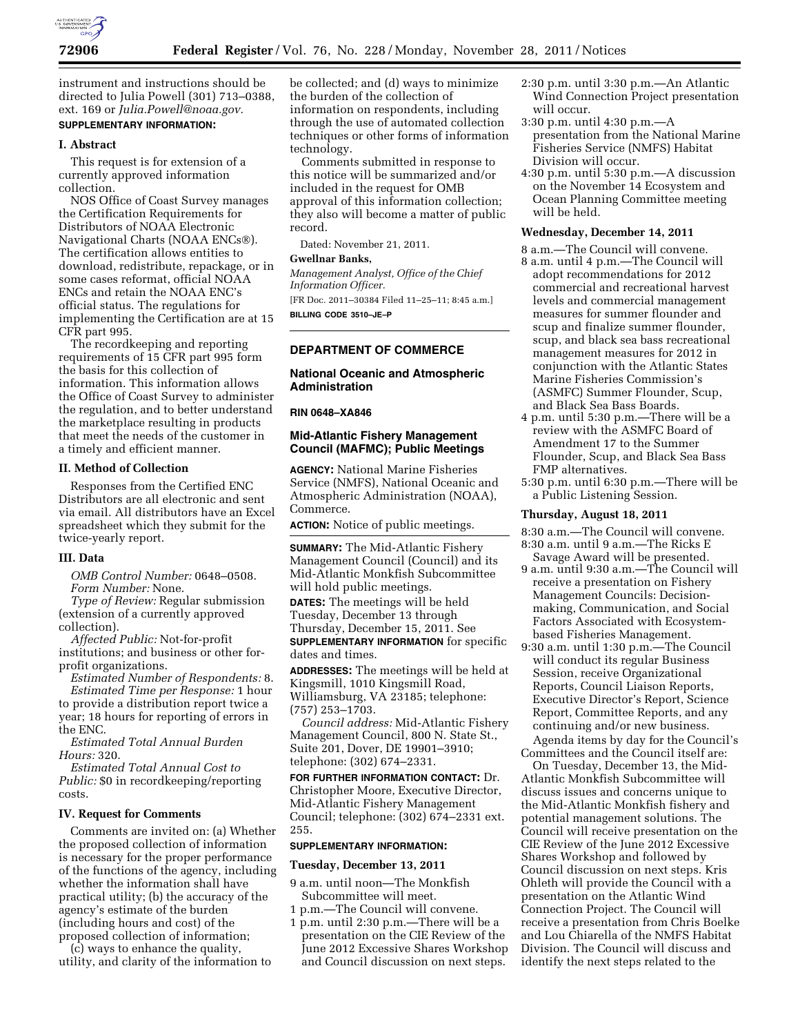

instrument and instructions should be directed to Julia Powell (301) 713–0388, ext. 169 or *[Julia.Powell@noaa.gov.](mailto:Julia.Powell@noaa.gov)*  **SUPPLEMENTARY INFORMATION:** 

#### **I. Abstract**

This request is for extension of a currently approved information collection.

NOS Office of Coast Survey manages the Certification Requirements for Distributors of NOAA Electronic Navigational Charts (NOAA ENCs®). The certification allows entities to download, redistribute, repackage, or in some cases reformat, official NOAA ENCs and retain the NOAA ENC's official status. The regulations for implementing the Certification are at 15 CFR part 995.

The recordkeeping and reporting requirements of 15 CFR part 995 form the basis for this collection of information. This information allows the Office of Coast Survey to administer the regulation, and to better understand the marketplace resulting in products that meet the needs of the customer in a timely and efficient manner.

## **II. Method of Collection**

Responses from the Certified ENC Distributors are all electronic and sent via email. All distributors have an Excel spreadsheet which they submit for the twice-yearly report.

## **III. Data**

*OMB Control Number:* 0648–0508. *Form Number:* None.

*Type of Review:* Regular submission (extension of a currently approved collection).

*Affected Public:* Not-for-profit institutions; and business or other forprofit organizations.

*Estimated Number of Respondents:* 8. *Estimated Time per Response:* 1 hour to provide a distribution report twice a year; 18 hours for reporting of errors in the ENC.

*Estimated Total Annual Burden Hours:* 320.

*Estimated Total Annual Cost to Public:* \$0 in recordkeeping/reporting costs.

#### **IV. Request for Comments**

Comments are invited on: (a) Whether the proposed collection of information is necessary for the proper performance of the functions of the agency, including whether the information shall have practical utility; (b) the accuracy of the agency's estimate of the burden (including hours and cost) of the proposed collection of information;

(c) ways to enhance the quality, utility, and clarity of the information to be collected; and (d) ways to minimize the burden of the collection of information on respondents, including through the use of automated collection techniques or other forms of information technology.

Comments submitted in response to this notice will be summarized and/or included in the request for OMB approval of this information collection; they also will become a matter of public record.

Dated: November 21, 2011.

## **Gwellnar Banks,**

*Management Analyst, Office of the Chief Information Officer.*  [FR Doc. 2011–30384 Filed 11–25–11; 8:45 a.m.] **BILLING CODE 3510–JE–P** 

## **DEPARTMENT OF COMMERCE**

### **National Oceanic and Atmospheric Administration**

#### **RIN 0648–XA846**

## **Mid-Atlantic Fishery Management Council (MAFMC); Public Meetings**

**AGENCY:** National Marine Fisheries Service (NMFS), National Oceanic and Atmospheric Administration (NOAA), Commerce.

**ACTION:** Notice of public meetings.

**SUMMARY:** The Mid-Atlantic Fishery Management Council (Council) and its Mid-Atlantic Monkfish Subcommittee will hold public meetings.

**DATES:** The meetings will be held Tuesday, December 13 through Thursday, December 15, 2011. See

**SUPPLEMENTARY INFORMATION** for specific dates and times.

**ADDRESSES:** The meetings will be held at Kingsmill, 1010 Kingsmill Road, Williamsburg, VA 23185; telephone: (757) 253–1703.

*Council address:* Mid-Atlantic Fishery Management Council, 800 N. State St., Suite 201, Dover, DE 19901–3910; telephone: (302) 674–2331.

**FOR FURTHER INFORMATION CONTACT:** Dr. Christopher Moore, Executive Director, Mid-Atlantic Fishery Management Council; telephone: (302) 674–2331 ext. 255.

## **SUPPLEMENTARY INFORMATION:**

#### **Tuesday, December 13, 2011**

- 9 a.m. until noon—The Monkfish Subcommittee will meet.
- 1 p.m.—The Council will convene.
- 1 p.m. until 2:30 p.m.—There will be a presentation on the CIE Review of the June 2012 Excessive Shares Workshop and Council discussion on next steps.
- 2:30 p.m. until 3:30 p.m.—An Atlantic Wind Connection Project presentation will occur.
- 3:30 p.m. until 4:30 p.m.—A presentation from the National Marine Fisheries Service (NMFS) Habitat Division will occur.
- 4:30 p.m. until 5:30 p.m.—A discussion on the November 14 Ecosystem and Ocean Planning Committee meeting will be held.

#### **Wednesday, December 14, 2011**

- 8 a.m.—The Council will convene.
- 8 a.m. until 4 p.m.—The Council will adopt recommendations for 2012 commercial and recreational harvest levels and commercial management measures for summer flounder and scup and finalize summer flounder, scup, and black sea bass recreational management measures for 2012 in conjunction with the Atlantic States Marine Fisheries Commission's (ASMFC) Summer Flounder, Scup, and Black Sea Bass Boards.
- 4 p.m. until 5:30 p.m.—There will be a review with the ASMFC Board of Amendment 17 to the Summer Flounder, Scup, and Black Sea Bass FMP alternatives.
- 5:30 p.m. until 6:30 p.m.—There will be a Public Listening Session.

#### **Thursday, August 18, 2011**

8:30 a.m.—The Council will convene.

- 8:30 a.m. until 9 a.m.—The Ricks E Savage Award will be presented.
- 9 a.m. until 9:30 a.m.—The Council will receive a presentation on Fishery Management Councils: Decisionmaking, Communication, and Social Factors Associated with Ecosystembased Fisheries Management.
- 9:30 a.m. until 1:30 p.m.—The Council will conduct its regular Business Session, receive Organizational Reports, Council Liaison Reports, Executive Director's Report, Science Report, Committee Reports, and any continuing and/or new business.

Agenda items by day for the Council's Committees and the Council itself are:

On Tuesday, December 13, the Mid-Atlantic Monkfish Subcommittee will discuss issues and concerns unique to the Mid-Atlantic Monkfish fishery and potential management solutions. The Council will receive presentation on the CIE Review of the June 2012 Excessive Shares Workshop and followed by Council discussion on next steps. Kris Ohleth will provide the Council with a presentation on the Atlantic Wind Connection Project. The Council will receive a presentation from Chris Boelke and Lou Chiarella of the NMFS Habitat Division. The Council will discuss and identify the next steps related to the